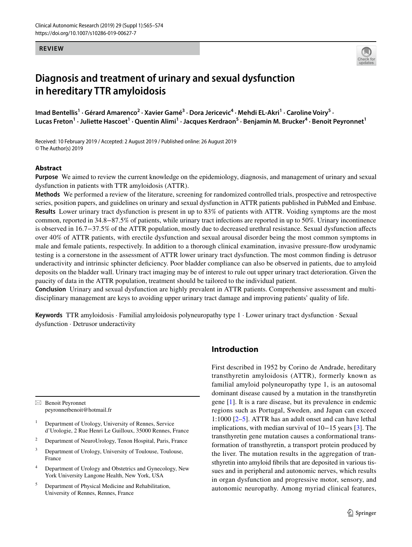#### **REVIEW**



# **Diagnosis and treatment of urinary and sexual dysfunction in hereditary TTR amyloidosis**

Imad Bentellis<sup>1</sup> · Gérard Amarenco<sup>2</sup> · Xavier Gamé<sup>3</sup> · Dora Jericevic<sup>4</sup> · Mehdi EL-Akri<sup>1</sup> · Caroline Voiry<sup>5</sup> · Lucas Freton<sup>1</sup> • Juliette Hascoet<sup>1</sup> • Quentin Alimi<sup>1</sup> • Jacques Kerdraon<sup>5</sup> • Benjamin M. Brucker<sup>4</sup> • Benoit Peyronnet<sup>1</sup>

Received: 10 February 2019 / Accepted: 2 August 2019 / Published online: 26 August 2019 © The Author(s) 2019

### **Abstract**

**Purpose** We aimed to review the current knowledge on the epidemiology, diagnosis, and management of urinary and sexual dysfunction in patients with TTR amyloidosis (ATTR).

**Methods** We performed a review of the literature, screening for randomized controlled trials, prospective and retrospective series, position papers, and guidelines on urinary and sexual dysfunction in ATTR patients published in PubMed and Embase. **Results** Lower urinary tract dysfunction is present in up to 83% of patients with ATTR. Voiding symptoms are the most common, reported in 34.8−87.5% of patients, while urinary tract infections are reported in up to 50%. Urinary incontinence is observed in 16.7−37.5% of the ATTR population, mostly due to decreased urethral resistance. Sexual dysfunction afects over 40% of ATTR patients, with erectile dysfunction and sexual arousal disorder being the most common symptoms in male and female patients, respectively. In addition to a thorough clinical examination, invasive pressure-fow urodynamic testing is a cornerstone in the assessment of ATTR lower urinary tract dysfunction. The most common fnding is detrusor underactivity and intrinsic sphincter defciency. Poor bladder compliance can also be observed in patients, due to amyloid deposits on the bladder wall. Urinary tract imaging may be of interest to rule out upper urinary tract deterioration. Given the paucity of data in the ATTR population, treatment should be tailored to the individual patient.

**Conclusion** Urinary and sexual dysfunction are highly prevalent in ATTR patients. Comprehensive assessment and multidisciplinary management are keys to avoiding upper urinary tract damage and improving patients' quality of life.

**Keywords** TTR amyloidosis · Familial amyloidosis polyneuropathy type 1 · Lower urinary tract dysfunction · Sexual dysfunction · Detrusor underactivity

 $\boxtimes$  Benoit Peyronnet peyronnetbenoit@hotmail.fr

- <sup>1</sup> Department of Urology, University of Rennes, Service d'Urologie, 2 Rue Henri Le Guilloux, 35000 Rennes, France
- <sup>2</sup> Department of NeuroUrology, Tenon Hospital, Paris, France
- <sup>3</sup> Department of Urology, University of Toulouse, Toulouse, France
- <sup>4</sup> Department of Urology and Obstetrics and Gynecology, New York University Langone Health, New York, USA
- <sup>5</sup> Department of Physical Medicine and Rehabilitation, University of Rennes, Rennes, France

# **Introduction**

First described in 1952 by Corino de Andrade, hereditary transthyretin amyloidosis (ATTR), formerly known as familial amyloid polyneuropathy type 1, is an autosomal dominant disease caused by a mutation in the transthyretin gene [\[1](#page-8-0)]. It is a rare disease, but its prevalence in endemic regions such as Portugal, Sweden, and Japan can exceed 1:1000 [\[2](#page-8-1)[–5](#page-8-2)]. ATTR has an adult onset and can have lethal implications, with median survival of 10−15 years [\[3](#page-8-3)]. The transthyretin gene mutation causes a conformational transformation of transthyretin, a transport protein produced by the liver. The mutation results in the aggregation of transthyretin into amyloid fbrils that are deposited in various tissues and in peripheral and autonomic nerves, which results in organ dysfunction and progressive motor, sensory, and autonomic neuropathy. Among myriad clinical features,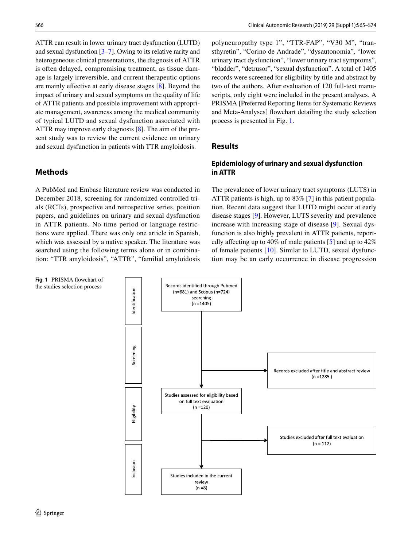ATTR can result in lower urinary tract dysfunction (LUTD) and sexual dysfunction [[3](#page-8-3)[–7](#page-8-4)]. Owing to its relative rarity and heterogeneous clinical presentations, the diagnosis of ATTR is often delayed, compromising treatment, as tissue damage is largely irreversible, and current therapeutic options are mainly efective at early disease stages [\[8](#page-8-5)]. Beyond the impact of urinary and sexual symptoms on the quality of life of ATTR patients and possible improvement with appropriate management, awareness among the medical community of typical LUTD and sexual dysfunction associated with ATTR may improve early diagnosis [\[8](#page-8-5)]. The aim of the present study was to review the current evidence on urinary and sexual dysfunction in patients with TTR amyloidosis.

# **Methods**

A PubMed and Embase literature review was conducted in December 2018, screening for randomized controlled trials (RCTs), prospective and retrospective series, position papers, and guidelines on urinary and sexual dysfunction in ATTR patients. No time period or language restrictions were applied. There was only one article in Spanish, which was assessed by a native speaker. The literature was searched using the following terms alone or in combination: "TTR amyloidosis", "ATTR", "familial amyloidosis

polyneuropathy type 1", "TTR-FAP", "V30 M", "transthyretin", "Corino de Andrade", "dysautonomia", "lower urinary tract dysfunction", "lower urinary tract symptoms", "bladder", "detrusor", "sexual dysfunction". A total of 1405 records were screened for eligibility by title and abstract by two of the authors. After evaluation of 120 full-text manuscripts, only eight were included in the present analyses. A PRISMA [Preferred Reporting Items for Systematic Reviews and Meta-Analyses] fowchart detailing the study selection process is presented in Fig. [1.](#page-1-0)

# **Results**

# **Epidemiology of urinary and sexual dysfunction in ATTR**

The prevalence of lower urinary tract symptoms (LUTS) in ATTR patients is high, up to 83% [[7\]](#page-8-4) in this patient population. Recent data suggest that LUTD might occur at early disease stages [\[9](#page-8-6)]. However, LUTS severity and prevalence increase with increasing stage of disease [[9\]](#page-8-6). Sexual dysfunction is also highly prevalent in ATTR patients, reportedly affecting up to 40% of male patients  $\lceil 5 \rceil$  and up to 42% of female patients [[10\]](#page-8-7). Similar to LUTD, sexual dysfunction may be an early occurrence in disease progression

<span id="page-1-0"></span>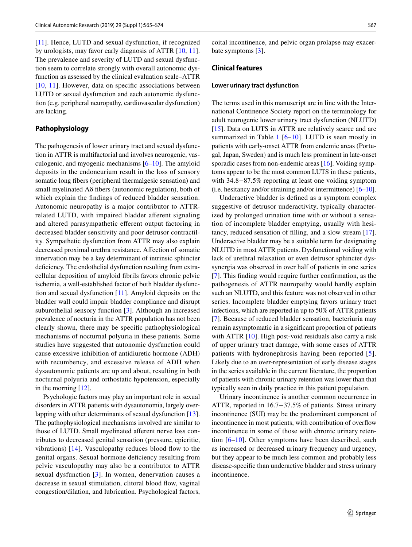[\[11\]](#page-8-8). Hence, LUTD and sexual dysfunction, if recognized by urologists, may favor early diagnosis of ATTR [[10,](#page-8-7) [11](#page-8-8)]. The prevalence and severity of LUTD and sexual dysfunction seem to correlate strongly with overall autonomic dysfunction as assessed by the clinical evaluation scale–ATTR [[10,](#page-8-7) [11\]](#page-8-8). However, data on specific associations between LUTD or sexual dysfunction and each autonomic dysfunction (e.g. peripheral neuropathy, cardiovascular dysfunction) are lacking.

### **Pathophysiology**

The pathogenesis of lower urinary tract and sexual dysfunction in ATTR is multifactorial and involves neurogenic, vasculogenic, and myogenic mechanisms  $[6–10]$  $[6–10]$  $[6–10]$ . The amyloid deposits in the endoneurium result in the loss of sensory somatic long fbers (peripheral thermalgesic sensation) and small myelinated Aδ fbers (autonomic regulation), both of which explain the fndings of reduced bladder sensation. Autonomic neuropathy is a major contributor to ATTRrelated LUTD, with impaired bladder aferent signaling and altered parasympathetic eferent output factoring in decreased bladder sensitivity and poor detrusor contractility. Sympathetic dysfunction from ATTR may also explain decreased proximal urethra resistance. Afection of somatic innervation may be a key determinant of intrinsic sphincter deficiency. The endothelial dysfunction resulting from extracellular deposition of amyloid fbrils favors chronic pelvic ischemia, a well-established factor of both bladder dysfunction and sexual dysfunction [\[11](#page-8-8)]. Amyloid deposits on the bladder wall could impair bladder compliance and disrupt suburothelial sensory function [\[3](#page-8-3)]. Although an increased prevalence of nocturia in the ATTR population has not been clearly shown, there may be specifc pathophysiological mechanisms of nocturnal polyuria in these patients. Some studies have suggested that autonomic dysfunction could cause excessive inhibition of antidiuretic hormone (ADH) with recumbency, and excessive release of ADH when dysautonomic patients are up and about, resulting in both nocturnal polyuria and orthostatic hypotension, especially in the morning [\[12\]](#page-8-10).

Psychologic factors may play an important role in sexual disorders in ATTR patients with dysautonomia, largely overlapping with other determinants of sexual dysfunction [\[13](#page-8-11)]. The pathophysiological mechanisms involved are similar to those of LUTD. Small myelinated aferent nerve loss contributes to decreased genital sensation (pressure, epicritic, vibrations)  $[14]$  $[14]$  $[14]$ . Vasculopathy reduces blood flow to the genital organs. Sexual hormone defciency resulting from pelvic vasculopathy may also be a contributor to ATTR sexual dysfunction [\[3\]](#page-8-3). In women, denervation causes a decrease in sexual stimulation, clitoral blood fow, vaginal congestion/dilation, and lubrication. Psychological factors,

coital incontinence, and pelvic organ prolapse may exacer-bate symptoms [[3\]](#page-8-3).

### **Clinical features**

#### **Lower urinary tract dysfunction**

The terms used in this manuscript are in line with the International Continence Society report on the terminology for adult neurogenic lower urinary tract dysfunction (NLUTD) [[15\]](#page-8-13). Data on LUTS in ATTR are relatively scarce and are summarized in Table  $1$  [[6](#page-8-9)–[10\]](#page-8-7). LUTD is seen mostly in patients with early-onset ATTR from endemic areas (Portugal, Japan, Sweden) and is much less prominent in late-onset sporadic cases from non-endemic areas [\[16](#page-8-14)]. Voiding symptoms appear to be the most common LUTS in these patients, with 34.8−87.5% reporting at least one voiding symptom (i.e. hesitancy and/or straining and/or intermittence) [\[6](#page-8-9)[–10](#page-8-7)].

Underactive bladder is defned as a symptom complex suggestive of detrusor underactivity, typically characterized by prolonged urination time with or without a sensation of incomplete bladder emptying, usually with hesitancy, reduced sensation of flling, and a slow stream [\[17](#page-8-15)]. Underactive bladder may be a suitable term for designating NLUTD in most ATTR patients. Dysfunctional voiding with lack of urethral relaxation or even detrusor sphincter dyssynergia was observed in over half of patients in one series [[7\]](#page-8-4). This fnding would require further confrmation, as the pathogenesis of ATTR neuropathy would hardly explain such an NLUTD, and this feature was not observed in other series. Incomplete bladder emptying favors urinary tract infections, which are reported in up to 50% of ATTR patients [[7\]](#page-8-4). Because of reduced bladder sensation, bacteriuria may remain asymptomatic in a signifcant proportion of patients with ATTR [[10\]](#page-8-7). High post-void residuals also carry a risk of upper urinary tract damage, with some cases of ATTR patients with hydronephrosis having been reported [[5](#page-8-2)]. Likely due to an over-representation of early disease stages in the series available in the current literature, the proportion of patients with chronic urinary retention was lower than that typically seen in daily practice in this patient population.

Urinary incontinence is another common occurrence in ATTR, reported in 16.7−37.5% of patients. Stress urinary incontinence (SUI) may be the predominant component of incontinence in most patients, with contribution of overfow incontinence in some of those with chronic urinary retention  $[6–10]$  $[6–10]$  $[6–10]$ . Other symptoms have been described, such as increased or decreased urinary frequency and urgency, but they appear to be much less common and probably less disease-specifc than underactive bladder and stress urinary incontinence.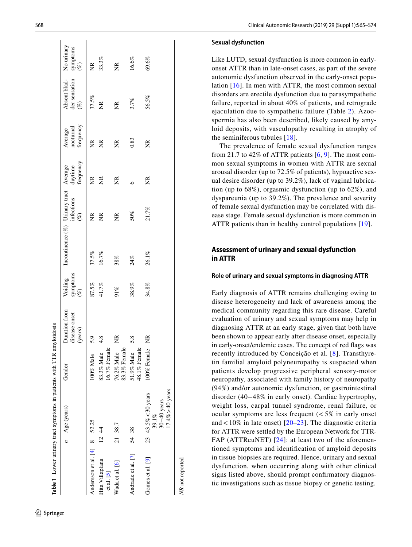|                                |       | Table 1 Lower urinary tract symptoms in patients with TTR amyloidosis |                            |                                           |                 |                                                |                      |                      |                                   |                                                    |                                                                                                      |
|--------------------------------|-------|-----------------------------------------------------------------------|----------------------------|-------------------------------------------|-----------------|------------------------------------------------|----------------------|----------------------|-----------------------------------|----------------------------------------------------|------------------------------------------------------------------------------------------------------|
|                                |       | $n$ Age (years)                                                       | Gender                     | Duration from<br>disease onset<br>(years) | symptoms $(\%)$ | Voiding Incontinence (%) Urinary tract Average | infections<br>$(\%)$ | frequency<br>daytime | frequency<br>nocturnal<br>Average | Absent blad- No urinary<br>der sensation<br>$(\%)$ | symptoms $\left(\begin{smallmatrix} \varphi & \varphi \\ \varphi & \varphi \end{smallmatrix}\right)$ |
| Andersson et al. $[4]$ 8 52.25 |       |                                                                       | 100% Male                  | 5.9                                       | 87.5%           | 37.5%                                          | Ž                    | Ž                    | E                                 | 37.5%                                              | E                                                                                                    |
| Hita Villaplana<br>et al. [5]  |       | 1244                                                                  | 16.7% Female<br>83.3% Male | 4.8                                       | 41.7%           | 16.7%                                          | $\widetilde{\Xi}$    | E                    | ΣŘ                                | $\widetilde{\Xi}$                                  | 33.3%                                                                                                |
| Wada et al. [6]                |       | 21 38.7                                                               | 83.3% Female<br>76.2% Male | Ž                                         | 91%             | 38%                                            | Ĕ                    | $\widetilde{\Xi}$    | $\widetilde{\Xi}$                 | $\widetilde{\Xi}$                                  | ž                                                                                                    |
| Andrade et al. [7]             | 54 38 |                                                                       | 48.1% Female<br>51.9% Male | 5.8                                       | 38.9%           | 24%                                            | 50%                  | $\circ$              | 0.83                              | 3.7%                                               | 16.6%                                                                                                |
| Gomes et al. [9]               |       | $17.4\% > 40$ years<br>23 43.5% < 30 years<br>$30-40$ years<br>39.1%  | 100% Female                | Ž                                         | 34.8%           | 26.1%                                          | 21.7%                | Ž                    | $\widetilde{\Xi}$                 | 56.5%                                              | 69.6%                                                                                                |
| <b>NR</b> not reported         |       |                                                                       |                            |                                           |                 |                                                |                      |                      |                                   |                                                    |                                                                                                      |

#### **Sexual dysfunction**

Like LUTD, sexual dysfunction is more common in earlyonset ATTR than in late-onset cases, as part of the severe autonomic dysfunction observed in the early-onset popu lation [\[16\]](#page-8-14). In men with ATTR, the most common sexual disorders are erectile dysfunction due to parasympathetic failure, reported in about 40% of patients, and retrograde ejaculation due to sympathetic failure (Table [2](#page-4-0)). Azoo spermia has also been described, likely caused by amy loid deposits, with vasculopathy resulting in atrophy of the seminiferous tubules [[18](#page-8-16)].

The prevalence of female sexual dysfunction ranges from 21.7 to 42% of ATTR patients  $[6, 9]$  $[6, 9]$  $[6, 9]$  $[6, 9]$ . The most common sexual symptoms in women with ATTR are sexual arousal disorder (up to 72.5% of patients), hypoactive sex ual desire disorder (up to 39.2%), lack of vaginal lubrica tion (up to 68%), orgasmic dysfunction (up to 62%), and dyspareunia (up to 39.2%). The prevalence and severity of female sexual dysfunction may be correlated with dis ease stage. Female sexual dysfunction is more common in ATTR patients than in healthy control populations [[19](#page-8-17)].

## **Assessment of urinary and sexual dysfunction in ATTR**

#### **Role of urinary and sexual symptoms in diagnosing ATTR**

<span id="page-3-0"></span>Early diagnosis of ATTR remains challenging owing to disease heterogeneity and lack of awareness among the medical community regarding this rare disease. Careful evaluation of urinary and sexual symptoms may help in diagnosing ATTR at an early stage, given that both have been shown to appear early after disease onset, especially in early-onset/endemic cases. The concept of red fags was recently introduced by Conceição et al. [ [8\]](#page-8-5). Transthyre tin familial amyloid polyneuropathy is suspected when patients develop progressive peripheral sensory-motor neuropathy, associated with family history of neuropathy (94%) and/or autonomic dysfunction, or gastrointestinal disorder (40−48% in early onset). Cardiac hypertrophy, weight loss, carpal tunnel syndrome, renal failure, or ocular symptoms are less frequent  $\left( < 5\% \right)$  in early onset and  $< 10\%$  in late onset) [[20](#page-8-18)[–23\]](#page-9-0). The diagnostic criteria for ATTR were settled by the European Network for TTR-FAP (ATTReuNET) [\[24\]](#page-9-1): at least two of the aforementioned symptoms and identifcation of amyloid deposits in tissue biopsies are required. Hence, urinary and sexual dysfunction, when occurring along with other clinical signs listed above, should prompt confrmatory diagnos tic investigations such as tissue biopsy or genetic testing.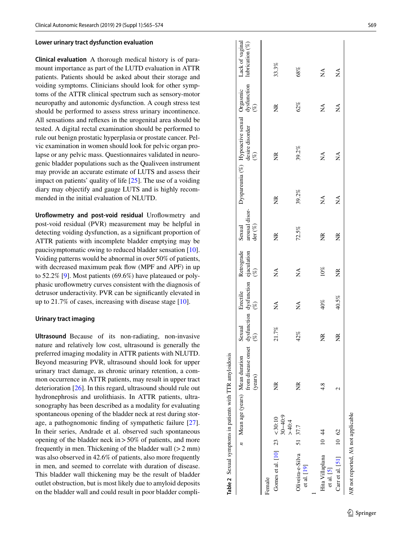#### **Lower urinary tract dysfunction evaluation**

**Clinical evaluation** A thorough medical history is of para mount importance as part of the LUTD evaluation in ATTR patients. Patients should be asked about their storage and voiding symptoms. Clinicians should look for other symp toms of the ATTR clinical spectrum such as sensory-motor neuropathy and autonomic dysfunction. A cough stress test should be performed to assess stress urinary incontinence. All sensations and refexes in the urogenital area should be tested. A digital rectal examination should be performed to rule out benign prostatic hyperplasia or prostate cancer. Pel vic examination in women should look for pelvic organ pro lapse or any pelvic mass. Questionnaires validated in neuro genic bladder populations such as the Qualiveen instrument may provide an accurate estimate of LUTS and assess their impact on patients' quality of life [\[25](#page-9-2)]. The use of a voiding diary may objectify and gauge LUTS and is highly recom mended in the initial evaluation of NLUTD.

Uroflowmetry and post-void residual Uroflowmetry and post-void residual (PVR) measurement may be helpful in detecting voiding dysfunction, as a signifcant proportion of ATTR patients with incomplete bladder emptying may be paucisymptomatic owing to reduced bladder sensation [\[10](#page-8-7)]. Voiding patterns would be abnormal in over 50% of patients, with decreased maximum peak flow (MPF and APF) in up to 52.2% [ [9](#page-8-6)]. Most patients (69.6%) have plateaued or poly phasic urofowmetry curves consistent with the diagnosis of detrusor underactivity. PVR can be signifcantly elevated in up to 21.7% of cases, increasing with disease stage [[10\]](#page-8-7).

#### **Urinary tract imaging**

<span id="page-4-0"></span>**Ultrasound** Because of its non-radiating, non-invasive nature and relatively low cost, ultrasound is generally the preferred imaging modality in ATTR patients with NLUTD. Beyond measuring PVR, ultrasound should look for upper urinary tract damage, as chronic urinary retention, a com mon occurrence in ATTR patients, may result in upper tract deterioration [[26\]](#page-9-3). In this regard, ultrasound should rule out hydronephrosis and urolithiasis. In ATTR patients, ultra sonography has been described as a modality for evaluating spontaneous opening of the bladder neck at rest during stor age, a pathognomonic fnding of sympathetic failure [\[27](#page-9-4)]. In their series, Andrade et al. observed such spontaneous opening of the bladder neck in >50% of patients, and more frequently in men. Thickening of the bladder wall  $(>2$  mm) was also observed in 42.6% of patients, also more frequently in men, and seemed to correlate with duration of disease. This bladder wall thickening may be the result of bladder outlet obstruction, but is most likely due to amyloid deposits on the bladder wall and could result in poor bladder compli -

|                                         | Table 2 Sexual symptoms in patients with TTR amyloidosis |                                                                     |        |                                                                      |                 |                                                                  |                   |                                                                                     |               |                                                   |
|-----------------------------------------|----------------------------------------------------------|---------------------------------------------------------------------|--------|----------------------------------------------------------------------|-----------------|------------------------------------------------------------------|-------------------|-------------------------------------------------------------------------------------|---------------|---------------------------------------------------|
|                                         |                                                          | from disease onset<br>$n$ Mean age (years) Mean duration<br>(years) | Sexual | dysfunction dysfunction ejaculation<br>$(\%)$ (%) $(\%)$<br>Erectile | Retrograde      | arousal disor-<br>$\text{der}\left(\mathcal{K}\right)$<br>Sexual |                   | Dyspareunia (%) Hypoactive sexual Orgasmic<br>desire disorder dysfunction<br>$(\%)$ | $(\%)$        | Lack of vaginal<br>dysfunction lubrication $(\%)$ |
| Female                                  |                                                          |                                                                     |        |                                                                      |                 |                                                                  |                   |                                                                                     |               |                                                   |
| Gomes et al. [10] $23 < 30:10$          | $30 - 40.9$<br>>40.4                                     | Z                                                                   | 21.7%  | Ź                                                                    | Ź               | ž                                                                | $\widetilde{\Xi}$ | Ĕ                                                                                   | $\frac{R}{N}$ | 33.3%                                             |
| Oliveira-e-Silva 51 37.7<br>et al. [19] |                                                          | ž                                                                   | 42%    | Ź                                                                    | Ź               | 72.5%                                                            | 39.2%             | 39.2%                                                                               | 62%           | 68%                                               |
| Hita Villaplana 10 44<br>et al. [5]     |                                                          | 4.8                                                                 | Ĕ      | 40%                                                                  | $10\%$          | ž                                                                | Ź                 | Ź                                                                                   | Ź             | Ź                                                 |
| Carr et al. [51] $10\,62$               |                                                          |                                                                     | ž      | 40.5%                                                                | $\widetilde{R}$ | Ž                                                                | Ź                 | Ź                                                                                   | Ź             | Ź                                                 |
| NR not reported, NA not applicable      |                                                          |                                                                     |        |                                                                      |                 |                                                                  |                   |                                                                                     |               |                                                   |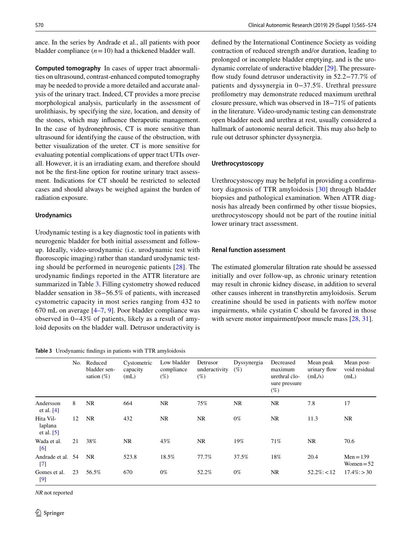ance. In the series by Andrade et al., all patients with poor bladder compliance  $(n=10)$  had a thickened bladder wall.

**Computed tomography** In cases of upper tract abnormalities on ultrasound, contrast-enhanced computed tomography may be needed to provide a more detailed and accurate analysis of the urinary tract. Indeed, CT provides a more precise morphological analysis, particularly in the assessment of urolithiasis, by specifying the size, location, and density of the stones, which may infuence therapeutic management. In the case of hydronephrosis, CT is more sensitive than ultrasound for identifying the cause of the obstruction, with better visualization of the ureter. CT is more sensitive for evaluating potential complications of upper tract UTIs overall. However, it is an irradiating exam, and therefore should not be the frst-line option for routine urinary tract assessment. Indications for CT should be restricted to selected cases and should always be weighed against the burden of radiation exposure.

#### **Urodynamics**

Urodynamic testing is a key diagnostic tool in patients with neurogenic bladder for both initial assessment and followup. Ideally, video-urodynamic (i.e. urodynamic test with fuoroscopic imaging) rather than standard urodynamic testing should be performed in neurogenic patients [[28](#page-9-6)]. The urodynamic fndings reported in the ATTR literature are summarized in Table [3](#page-5-0). Filling cystometry showed reduced bladder sensation in 38−56.5% of patients, with increased cystometric capacity in most series ranging from 432 to 670 mL on average [\[4](#page-8-19)–[7,](#page-8-4) [9\]](#page-8-6). Poor bladder compliance was observed in 0−43% of patients, likely as a result of amyloid deposits on the bladder wall. Detrusor underactivity is

<span id="page-5-0"></span>**Table 3** Urodynamic fndings in patients with TTR amyloidosis

defned by the International Continence Society as voiding contraction of reduced strength and/or duration, leading to prolonged or incomplete bladder emptying, and is the urodynamic correlate of underactive bladder [[29\]](#page-9-7). The pressurefow study found detrusor underactivity in 52.2−77.7% of patients and dyssynergia in 0−37.5%. Urethral pressure proflometry may demonstrate reduced maximum urethral closure pressure, which was observed in 18−71% of patients in the literature. Video-urodynamic testing can demonstrate open bladder neck and urethra at rest, usually considered a hallmark of autonomic neural deficit. This may also help to rule out detrusor sphincter dyssynergia.

#### **Urethrocystoscopy**

Urethrocystoscopy may be helpful in providing a confrmatory diagnosis of TTR amyloidosis [\[30\]](#page-9-8) through bladder biopsies and pathological examination. When ATTR diagnosis has already been confrmed by other tissue biopsies, urethrocystoscopy should not be part of the routine initial lower urinary tract assessment.

#### **Renal function assessment**

The estimated glomerular fltration rate should be assessed initially and over follow-up, as chronic urinary retention may result in chronic kidney disease, in addition to several other causes inherent in transthyretin amyloidosis. Serum creatinine should be used in patients with no/few motor impairments, while cystatin C should be favored in those with severe motor impairment/poor muscle mass [[28,](#page-9-6) [31\]](#page-9-9).

|                                        | No. | Reduced<br>bladder sen-<br>sation $(\%)$ | Cystometric<br>capacity<br>(mL) | Low bladder<br>compliance<br>$(\%)$ | Detrusor<br>underactivity<br>$(\%)$ | Dyssynergia<br>$(\%)$ | Decreased<br>maximum<br>urethral clo-<br>sure pressure<br>$(\%)$ | Mean peak<br>urinary flow<br>(mL/s) | Mean post-<br>void residual<br>(mL) |
|----------------------------------------|-----|------------------------------------------|---------------------------------|-------------------------------------|-------------------------------------|-----------------------|------------------------------------------------------------------|-------------------------------------|-------------------------------------|
| Andersson<br>et al. $[4]$              | 8   | <b>NR</b>                                | 664                             | <b>NR</b>                           | 75%                                 | <b>NR</b>             | <b>NR</b>                                                        | 7.8                                 | 17                                  |
| Hita Vil-<br>laplana<br>et al. $[5]$   | 12  | <b>NR</b>                                | 432                             | <b>NR</b>                           | NR.                                 | $0\%$                 | NR.                                                              | 11.3                                | NR                                  |
| Wada et al.<br>$\lceil 6 \rceil$       | 21  | 38%                                      | <b>NR</b>                       | 43%                                 | NR.                                 | 19%                   | 71%                                                              | <b>NR</b>                           | 70.6                                |
| Andrade et al. 54<br>$\lceil 7 \rceil$ |     | <b>NR</b>                                | 523.8                           | 18.5%                               | 77.7%                               | 37.5%                 | 18%                                                              | 20.4                                | $Men = 139$<br>Women $= 52$         |
| Gomes et al.<br>$[9]$                  | 23  | 56.5%                                    | 670                             | $0\%$                               | 52.2%                               | $0\%$                 | NR.                                                              | $52.2\%$ : < 12                     | $17.4\%$ : > 30                     |

*NR* not reported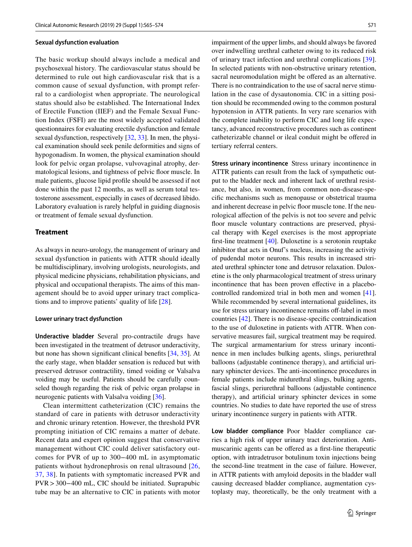#### **Sexual dysfunction evaluation**

The basic workup should always include a medical and psychosexual history. The cardiovascular status should be determined to rule out high cardiovascular risk that is a common cause of sexual dysfunction, with prompt referral to a cardiologist when appropriate. The neurological status should also be established. The International Index of Erectile Function (IIEF) and the Female Sexual Function Index (FSFI) are the most widely accepted validated questionnaires for evaluating erectile dysfunction and female sexual dysfunction, respectively [\[32](#page-9-10), [33](#page-9-11)]. In men, the physical examination should seek penile deformities and signs of hypogonadism. In women, the physical examination should look for pelvic organ prolapse, vulvovaginal atrophy, dermatological lesions, and tightness of pelvic floor muscle. In male patients, glucose lipid profle should be assessed if not done within the past 12 months, as well as serum total testosterone assessment, especially in cases of decreased libido. Laboratory evaluation is rarely helpful in guiding diagnosis or treatment of female sexual dysfunction.

#### **Treatment**

As always in neuro-urology, the management of urinary and sexual dysfunction in patients with ATTR should ideally be multidisciplinary, involving urologists, neurologists, and physical medicine physicians, rehabilitation physicians, and physical and occupational therapists. The aims of this management should be to avoid upper urinary tract complications and to improve patients' quality of life [\[28](#page-9-6)].

#### **Lower urinary tract dysfunction**

**Underactive bladder** Several pro-contractile drugs have been investigated in the treatment of detrusor underactivity, but none has shown signifcant clinical benefts [[34,](#page-9-12) [35\]](#page-9-13). At the early stage, when bladder sensation is reduced but with preserved detrusor contractility, timed voiding or Valsalva voiding may be useful. Patients should be carefully counseled though regarding the risk of pelvic organ prolapse in neurogenic patients with Valsalva voiding [\[36](#page-9-14)].

Clean intermittent catheterization (CIC) remains the standard of care in patients with detrusor underactivity and chronic urinary retention. However, the threshold PVR prompting initiation of CIC remains a matter of debate. Recent data and expert opinion suggest that conservative management without CIC could deliver satisfactory outcomes for PVR of up to 300−400 mL in asymptomatic patients without hydronephrosis on renal ultrasound [\[26,](#page-9-3) [37](#page-9-15), [38](#page-9-16)]. In patients with symptomatic increased PVR and PVR>300−400 mL, CIC should be initiated. Suprapubic tube may be an alternative to CIC in patients with motor impairment of the upper limbs, and should always be favored over indwelling urethral catheter owing to its reduced risk of urinary tract infection and urethral complications [[39](#page-9-17)]. In selected patients with non-obstructive urinary retention, sacral neuromodulation might be offered as an alternative. There is no contraindication to the use of sacral nerve stimulation in the case of dysautonomia. CIC in a sitting position should be recommended owing to the common postural hypotension in ATTR patients. In very rare scenarios with the complete inability to perform CIC and long life expectancy, advanced reconstructive procedures such as continent catheterizable channel or ileal conduit might be ofered in tertiary referral centers.

**Stress urinary incontinence** Stress urinary incontinence in ATTR patients can result from the lack of sympathetic output to the bladder neck and inherent lack of urethral resistance, but also, in women, from common non-disease-specifc mechanisms such as menopause or obstetrical trauma and inherent decrease in pelvic floor muscle tone. If the neurological afection of the pelvis is not too severe and pelvic floor muscle voluntary contractions are preserved, physical therapy with Kegel exercises is the most appropriate frst-line treatment [\[40](#page-9-18)]. Duloxetine is a serotonin reuptake inhibitor that acts in Onuf's nucleus, increasing the activity of pudendal motor neurons. This results in increased striated urethral sphincter tone and detrusor relaxation. Duloxetine is the only pharmacological treatment of stress urinary incontinence that has been proven efective in a placebocontrolled randomized trial in both men and women [\[41](#page-9-19)]. While recommended by several international guidelines, its use for stress urinary incontinence remains off-label in most countries [[42\]](#page-9-20). There is no disease-specifc contraindication to the use of duloxetine in patients with ATTR. When conservative measures fail, surgical treatment may be required. The surgical armamentarium for stress urinary incontinence in men includes bulking agents, slings, periurethral balloons (adjustable continence therapy), and artifcial urinary sphincter devices. The anti-incontinence procedures in female patients include midurethral slings, bulking agents, fascial slings, periurethral balloons (adjustable continence therapy), and artifcial urinary sphincter devices in some countries. No studies to date have reported the use of stress urinary incontinence surgery in patients with ATTR.

**Low bladder compliance** Poor bladder compliance carries a high risk of upper urinary tract deterioration. Antimuscarinic agents can be ofered as a frst-line therapeutic option, with intradetrusor botulinum toxin injections being the second-line treatment in the case of failure. However, in ATTR patients with amyloid deposits in the bladder wall causing decreased bladder compliance, augmentation cystoplasty may, theoretically, be the only treatment with a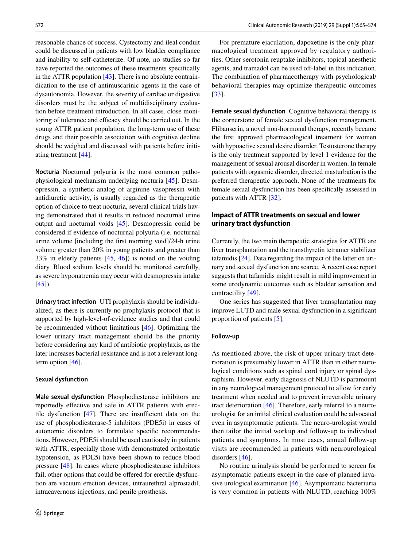reasonable chance of success. Cystectomy and ileal conduit could be discussed in patients with low bladder compliance and inability to self-catheterize. Of note, no studies so far have reported the outcomes of these treatments specifcally in the ATTR population  $[43]$  $[43]$ . There is no absolute contraindication to the use of antimuscarinic agents in the case of dysautonomia. However, the severity of cardiac or digestive disorders must be the subject of multidisciplinary evaluation before treatment introduction. In all cases, close monitoring of tolerance and efficacy should be carried out. In the young ATTR patient population, the long-term use of these drugs and their possible association with cognitive decline should be weighed and discussed with patients before initiating treatment [\[44](#page-9-22)].

**Nocturia** Nocturnal polyuria is the most common pathophysiological mechanism underlying nocturia [\[45](#page-9-23)]. Desmopressin, a synthetic analog of arginine vasopressin with antidiuretic activity, is usually regarded as the therapeutic option of choice to treat nocturia, several clinical trials having demonstrated that it results in reduced nocturnal urine output and nocturnal voids [[45\]](#page-9-23). Desmopressin could be considered if evidence of nocturnal polyuria (i.e. nocturnal urine volume [including the frst morning void]/24-h urine volume greater than 20% in young patients and greater than 33% in elderly patients [\[45](#page-9-23), [46\]](#page-9-24)) is noted on the voiding diary. Blood sodium levels should be monitored carefully, as severe hyponatremia may occur with desmopressin intake  $[45]$  $[45]$ .

**Urinary tract infection** UTI prophylaxis should be individualized, as there is currently no prophylaxis protocol that is supported by high-level-of-evidence studies and that could be recommended without limitations [\[46](#page-9-24)]. Optimizing the lower urinary tract management should be the priority before considering any kind of antibiotic prophylaxis, as the later increases bacterial resistance and is not a relevant longterm option [\[46](#page-9-24)].

#### **Sexual dysfunction**

**Male sexual dysfunction** Phosphodiesterase inhibitors are reportedly efective and safe in ATTR patients with erectile dysfunction  $[47]$  $[47]$ . There are insufficient data on the use of phosphodiesterase-5 inhibitors (PDE5i) in cases of autonomic disorders to formulate specifc recommendations. However, PDE5i should be used cautiously in patients with ATTR, especially those with demonstrated orthostatic hypotension, as PDE5i have been shown to reduce blood pressure [\[48](#page-9-26)]. In cases where phosphodiesterase inhibitors fail, other options that could be offered for erectile dysfunction are vacuum erection devices, intraurethral alprostadil, intracavernous injections, and penile prosthesis.

For premature ejaculation, dapoxetine is the only pharmacological treatment approved by regulatory authorities. Other serotonin reuptake inhibitors, topical anesthetic agents, and tramadol can be used off-label in this indication. The combination of pharmacotherapy with psychological/ behavioral therapies may optimize therapeutic outcomes [[33\]](#page-9-11).

**Female sexual dysfunction** Cognitive behavioral therapy is the cornerstone of female sexual dysfunction management. Flibanserin, a novel non-hormonal therapy, recently became the frst approved pharmacological treatment for women with hypoactive sexual desire disorder. Testosterone therapy is the only treatment supported by level 1 evidence for the management of sexual arousal disorder in women. In female patients with orgasmic disorder, directed masturbation is the preferred therapeutic approach. None of the treatments for female sexual dysfunction has been specifcally assessed in patients with ATTR [[32\]](#page-9-10).

# **Impact of ATTR treatments on sexual and lower urinary tract dysfunction**

Currently, the two main therapeutic strategies for ATTR are liver transplantation and the transthyretin tetramer stabilizer tafamidis [\[24](#page-9-1)]. Data regarding the impact of the latter on urinary and sexual dysfunction are scarce. A recent case report suggests that tafamidis might result in mild improvement in some urodynamic outcomes such as bladder sensation and contractility [[49](#page-9-27)].

One series has suggested that liver transplantation may improve LUTD and male sexual dysfunction in a signifcant proportion of patients [[5\]](#page-8-2).

#### **Follow‑up**

As mentioned above, the risk of upper urinary tract deterioration is presumably lower in ATTR than in other neurological conditions such as spinal cord injury or spinal dysraphism. However, early diagnosis of NLUTD is paramount in any neurological management protocol to allow for early treatment when needed and to prevent irreversible urinary tract deterioration [[46](#page-9-24)]. Therefore, early referral to a neurourologist for an initial clinical evaluation could be advocated even in asymptomatic patients. The neuro-urologist would then tailor the initial workup and follow-up to individual patients and symptoms. In most cases, annual follow-up visits are recommended in patients with neurourological disorders [[46](#page-9-24)].

No routine urinalysis should be performed to screen for asymptomatic patients except in the case of planned invasive urological examination [[46\]](#page-9-24). Asymptomatic bacteriuria is very common in patients with NLUTD, reaching 100%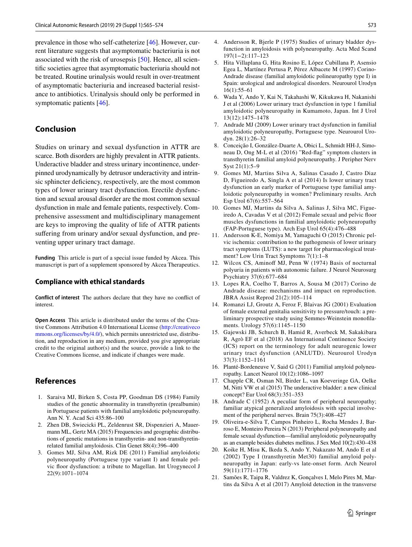prevalence in those who self-catheterize [\[46](#page-9-24)]. However, current literature suggests that asymptomatic bacteriuria is not associated with the risk of urosepsis [[50](#page-9-28)]. Hence, all scientifc societies agree that asymptomatic bacteriuria should not be treated. Routine urinalysis would result in over-treatment of asymptomatic bacteriuria and increased bacterial resistance to antibiotics. Urinalysis should only be performed in symptomatic patients [[46](#page-9-24)].

### **Conclusion**

Studies on urinary and sexual dysfunction in ATTR are scarce. Both disorders are highly prevalent in ATTR patients. Underactive bladder and stress urinary incontinence, underpinned urodynamically by detrusor underactivity and intrinsic sphincter deficiency, respectively, are the most common types of lower urinary tract dysfunction. Erectile dysfunction and sexual arousal disorder are the most common sexual dysfunction in male and female patients, respectively. Comprehensive assessment and multidisciplinary management are keys to improving the quality of life of ATTR patients suffering from urinary and/or sexual dysfunction, and preventing upper urinary tract damage.

**Funding** This article is part of a special issue funded by Akcea. This manuscript is part of a supplement sponsored by Akcea Therapeutics.

#### **Compliance with ethical standards**

**Conflict of interest** The authors declare that they have no confict of interest.

**Open Access** This article is distributed under the terms of the Creative Commons Attribution 4.0 International License [\(http://creativeco](http://creativecommons.org/licenses/by/4.0/) [mmons.org/licenses/by/4.0/](http://creativecommons.org/licenses/by/4.0/)), which permits unrestricted use, distribution, and reproduction in any medium, provided you give appropriate credit to the original author(s) and the source, provide a link to the Creative Commons license, and indicate if changes were made.

## **References**

- <span id="page-8-0"></span>1. Saraiva MJ, Birken S, Costa PP, Goodman DS (1984) Family studies of the genetic abnormality in transthyretin (prealbumin) in Portuguese patients with familial amyloidotic polyneuropathy. Ann N. Y. Acad Sci 435:86–100
- <span id="page-8-1"></span>2. Zhen DB, Swiecicki PL, Zeldenrust SR, Dispenzieri A, Mauermann ML, Gertz MA (2015) Frequencies and geographic distributions of genetic mutations in transthyretin- and non-transthyretinrelated familial amyloidosis. Clin Genet 88(4):396–400
- <span id="page-8-3"></span>3. Gomes MJ, Silva AM, Rizk DE (2011) Familial amyloidotic polyneuropathy (Portuguese type variant I) and female pelvic foor dysfunction: a tribute to Magellan. Int Urogynecol J 22(9):1071–1074
- <span id="page-8-19"></span>4. Andersson R, Bjerle P (1975) Studies of urinary bladder dysfunction in amyloidosis with polyneuropathy. Acta Med Scand 197(1−2):117–123
- <span id="page-8-2"></span>5. Hita Villaplana G, Hita Rosino E, López Cubillana P, Asensio Egea L, Martínez Pertusa P, Pérez Albacete M (1997) Corino-Andrade disease (familial amyloidotic polineuropathy type I) in Spain: urological and andrological disorders. Neurourol Urodyn 16(1):55–61
- <span id="page-8-9"></span>6. Wada Y, Ando Y, Kai N, Takahashi W, Kikukawa H, Nakanishi J et al (2006) Lower urinary tract dysfunction in type 1 familial amyloidotic polyneuropathy in Kumamoto, Japan. Int J Urol 13(12):1475–1478
- <span id="page-8-4"></span>7. Andrade MJ (2009) Lower urinary tract dysfunction in familial amyloidotic polyneuropathy, Portuguese type. Neurourol Urodyn. 28(1):26–32
- <span id="page-8-5"></span>8. Conceição I, González-Duarte A, Obici L, Schmidt HH-J, Simoneau D, Ong M-L et al (2016) "Red-fag" symptom clusters in transthyretin familial amyloid polyneuropathy. J Peripher Nerv Syst 21(1):5–9
- <span id="page-8-6"></span>9. Gomes MJ, Martins Silva A, Salinas Casado J, Castro Diaz D, Figueiredo A, Singla A et al (2014) Is lower urinary tract dysfunction an early marker of Portuguese type familial amyloidotic polyneuropathy in women? Preliminary results. Arch Esp Urol 67(6):557–564
- <span id="page-8-7"></span>10. Gomes MJ, Martins da Silva A, Salinas J, Silva MC, Figueiredo A, Cavadas V et al (2012) Female sexual and pelvic foor muscles dysfunctions in familial amyloidotic polyneuropathy (FAP-Portuguese type). Arch Esp Urol 65(4):476–488
- <span id="page-8-8"></span>11. Andersson K-E, Nomiya M, Yamaguchi O (2015) Chronic pelvic ischemia: contribution to the pathogenesis of lower urinary tract symptoms (LUTS): a new target for pharmacological treatment? Low Urin Tract Symptoms 7(1):1–8
- <span id="page-8-10"></span>12. Wilcox CS, Aminoff MJ, Penn W (1974) Basis of nocturnal polyuria in patients with autonomic failure. J Neurol Neurosurg Psychiatry 37(6):677–684
- <span id="page-8-11"></span>13. Lopes RA, Coelho T, Barros A, Sousa M (2017) Corino de Andrade disease: mechanisms and impact on reproduction. JBRA Assist Reprod 21(2):105–114
- <span id="page-8-12"></span>14. Romanzi LJ, Groutz A, Feroz F, Blaivas JG (2001) Evaluation of female external genitalia sensitivity to pressure/touch: a preliminary prospective study using Semmes-Weinstein monoflaments. Urology 57(6):1145–1150
- <span id="page-8-13"></span>15. Gajewski JB, Schurch B, Hamid R, Averbeck M, Sakakibara R, Agrò EF et al (2018) An International Continence Society (ICS) report on the terminology for adult neurogenic lower urinary tract dysfunction (ANLUTD). Neurourol Urodyn 37(3):1152–1161
- <span id="page-8-14"></span>16. Planté-Bordeneuve V, Said G (2011) Familial amyloid polyneuropathy. Lancet Neurol 10(12):1086–1097
- <span id="page-8-15"></span>17. Chapple CR, Osman NI, Birder L, van Koeveringe GA, Oelke M, Nitti VW et al (2015) The underactive bladder: a new clinical concept? Eur Urol 68(3):351–353
- <span id="page-8-16"></span>18. Andrade C (1952) A peculiar form of peripheral neuropathy; familiar atypical generalized amyloidosis with special involvement of the peripheral nerves. Brain 75(3):408–427
- <span id="page-8-17"></span>19. Oliveira-e-Silva T, Campos Pinheiro L, Rocha Mendes J, Barroso E, Monteiro Pereira N (2013) Peripheral polyneuropathy and female sexual dysfunction—familial amyloidotic polyneuropathy as an example besides diabetes mellitus. J Sex Med 10(2):430–438
- <span id="page-8-18"></span>20. Koike H, Misu K, Ikeda S, Ando Y, Nakazato M, Ando E et al (2002) Type I (transthyretin Met30) familial amyloid polyneuropathy in Japan: early-vs late-onset form. Arch Neurol 59(11):1771–1776
- 21. Samões R, Taipa R, Valdrez K, Gonçalves I, Melo Pires M, Martins da Silva A et al (2017) Amyloid detection in the transverse